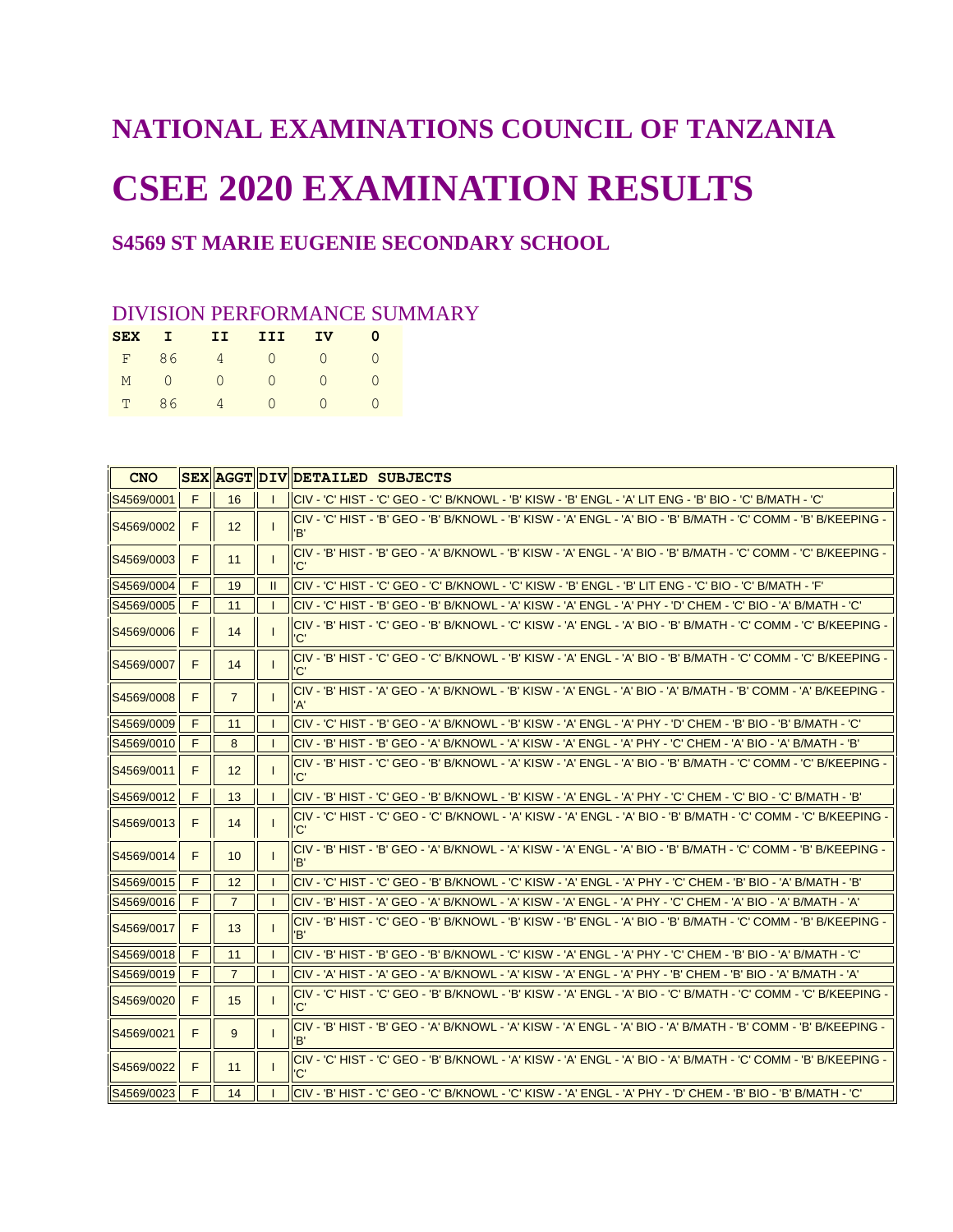# **NATIONAL EXAMINATIONS COUNCIL OF TANZANIA CSEE 2020 EXAMINATION RESULTS**

## **S4569 ST MARIE EUGENIE SECONDARY SCHOOL**

### DIVISION PERFORMANCE SUMMARY

| <b>SEX</b> | $\blacksquare$ | II             | III             | IV.       |  |
|------------|----------------|----------------|-----------------|-----------|--|
|            |                |                | F 86 4 0 0      |           |  |
|            |                | $M$ 0 0        | $\cap$          | $\bigcap$ |  |
|            | T 86           | $\overline{4}$ | $\cap$ $\qquad$ | $\cap$    |  |

| <b>CNO</b> |   |                |               | SEX AGGT DIV DETAILED SUBJECTS                                                                                          |
|------------|---|----------------|---------------|-------------------------------------------------------------------------------------------------------------------------|
| S4569/0001 | F | 16             |               | CIV - 'C' HIST - 'C' GEO - 'C' B/KNOWL - 'B' KISW - 'B' ENGL - 'A' LIT ENG - 'B' BIO - 'C' B/MATH - 'C'                 |
| S4569/0002 | F | 12             |               | - CIV - 'C' HIST - 'B' GEO - 'B' B/KNOWL - 'B' KISW - 'A' ENGL - 'A' BIO - 'B' B/MATH - 'C' COMM - 'B' B/KEEPING<br>'B' |
| S4569/0003 | F | 11             |               | - CIV - 'B' HIST - 'B' GEO - 'A' B/KNOWL - 'B' KISW - 'A' ENGL - 'A' BIO - 'B' B/MATH - 'C' COMM - 'C' B/KEEPING<br>'C' |
| S4569/0004 | F | 19             | $\mathbf{II}$ | CIV - 'C' HIST - 'C' GEO - 'C' B/KNOWL - 'C' KISW - 'B' ENGL - 'B' LIT ENG - 'C' BIO - 'C' B/MATH - 'F'                 |
| S4569/0005 | F | 11             |               | 'CIV - 'C' HIST - 'B' GEO - 'B' B/KNOWL - 'A' KISW - 'A' ENGL - 'A' PHY - 'D' CHEM - 'C' BIO - 'A' B/MATH - 'C          |
| S4569/0006 | F | 14             |               | - CIV - 'B' HIST - 'C' GEO - 'B' B/KNOWL - 'C' KISW - 'A' ENGL - 'A' BIO - 'B' B/MATH - 'C' COMM - 'C' B/KEEPING<br>'C' |
| S4569/0007 | F | 14             |               | - CIV - 'B' HIST - 'C' GEO - 'C' B/KNOWL - 'B' KISW - 'A' ENGL - 'A' BIO - 'B' B/MATH - 'C' COMM - 'C' B/KEEPING<br>'C' |
| S4569/0008 | F | $\overline{7}$ |               | CIV - 'B' HIST - 'A' GEO - 'A' B/KNOWL - 'B' KISW - 'A' ENGL - 'A' BIO - 'A' B/MATH - 'B' COMM - 'A' B/KEEPING -<br>'A' |
| S4569/0009 | F | 11             |               | 'CIV - 'C' HIST - 'B' GEO - 'A' B/KNOWL - 'B' KISW - 'A' ENGL - 'A' PHY - 'D' CHEM - 'B' BIO - 'B' B/MATH - 'C          |
| S4569/0010 | F | 8              |               | CIV - 'B' HIST - 'B' GEO - 'A' B/KNOWL - 'A' KISW - 'A' ENGL - 'A' PHY - 'C' CHEM - 'A' BIO - 'A' B/MATH - 'B'          |
| S4569/0011 | F | 12             |               | - CIV - 'B' HIST - 'C' GEO - 'B' B/KNOWL - 'A' KISW - 'A' ENGL - 'A' BIO - 'B' B/MATH - 'C' COMM - 'C' B/KEEPING<br>'C' |
| S4569/0012 | F | 13             |               | 'CIV - 'B' HIST - 'C' GEO - 'B' B/KNOWL - 'B' KISW - 'A' ENGL - 'A' PHY - 'C' CHEM - 'C' BIO - 'C' B/MATH - 'B          |
| S4569/0013 | F | 14             |               | - C'I HIST - 'C' GEO - 'C' B/KNOWL - 'A' KISW - 'A' ENGL - 'A' BIO - 'B' B/MATH - 'C' COMM - 'C' B/KEEPING<br>'C'       |
| S4569/0014 | F | 10             |               | - CIV - 'B' HIST - 'B' GEO - 'A' B/KNOWL - 'A' KISW - 'A' ENGL - 'A' BIO - 'B' B/MATH - 'C' COMM - 'B' B/KEEPING<br>'R' |
| S4569/0015 | F | 12             |               | 'CIV - 'C' HIST - 'C' GEO - 'B' B/KNOWL - 'C' KISW - 'A' ENGL - 'A' PHY - 'C' CHEM - 'B' BIO - 'A' B/MATH - 'B          |
| S4569/0016 | F | $\overline{7}$ |               | 'CIV - 'B' HIST - 'A' GEO - 'A' B/KNOWL - 'A' KISW - 'A' ENGL - 'A' PHY - 'C' CHEM - 'A' BIO - 'A' B/MATH - 'A          |
| S4569/0017 | F | 13             |               | - CIV - 'B' HIST - 'C' GEO - 'B' B/KNOWL - 'B' KISW - 'B' ENGL - 'A' BIO - 'B' B/MATH - 'C' COMM - 'B' B/KEEPING<br>'B' |
| S4569/0018 | F | 11             |               | CIV - 'B' HIST - 'B' GEO - 'B' B/KNOWL - 'C' KISW - 'A' ENGL - 'A' PHY - 'C' CHEM - 'B' BIO - 'A' B/MATH - 'C'          |
| S4569/0019 | F | $\overline{7}$ |               | 'CIV - 'A' HIST - 'A' GEO - 'A' B/KNOWL - 'A' KISW - 'A' ENGL - 'A' PHY - 'B' CHEM - 'B' BIO - 'A' B/MATH - 'A          |
| S4569/0020 | F | 15             |               | - CIV - 'C' HIST - 'C' GEO - 'B' B/KNOWL - 'B' KISW - 'A' ENGL - 'A' BIO - 'C' B/MATH - 'C' COMM - 'C' B/KEEPING<br>'C' |
| S4569/0021 | F | 9              |               | CIV - 'B' HIST - 'B' GEO - 'A' B/KNOWL - 'A' KISW - 'A' ENGL - 'A' BIO - 'A' B/MATH - 'B' COMM - 'B' B/KEEPING -<br>'B' |
| S4569/0022 | F | 11             |               | - CIV - 'C' HIST - 'C' GEO - 'B' B/KNOWL - 'A' KISW - 'A' ENGL - 'A' BIO - 'A' B/MATH - 'C' COMM - 'B' B/KEEPING<br>'C' |
| S4569/0023 | F | 14             |               | CIV - 'B' HIST - 'C' GEO - 'C' B/KNOWL - 'C' KISW - 'A' ENGL - 'A' PHY - 'D' CHEM - 'B' BIO - 'B' B/MATH - 'C'          |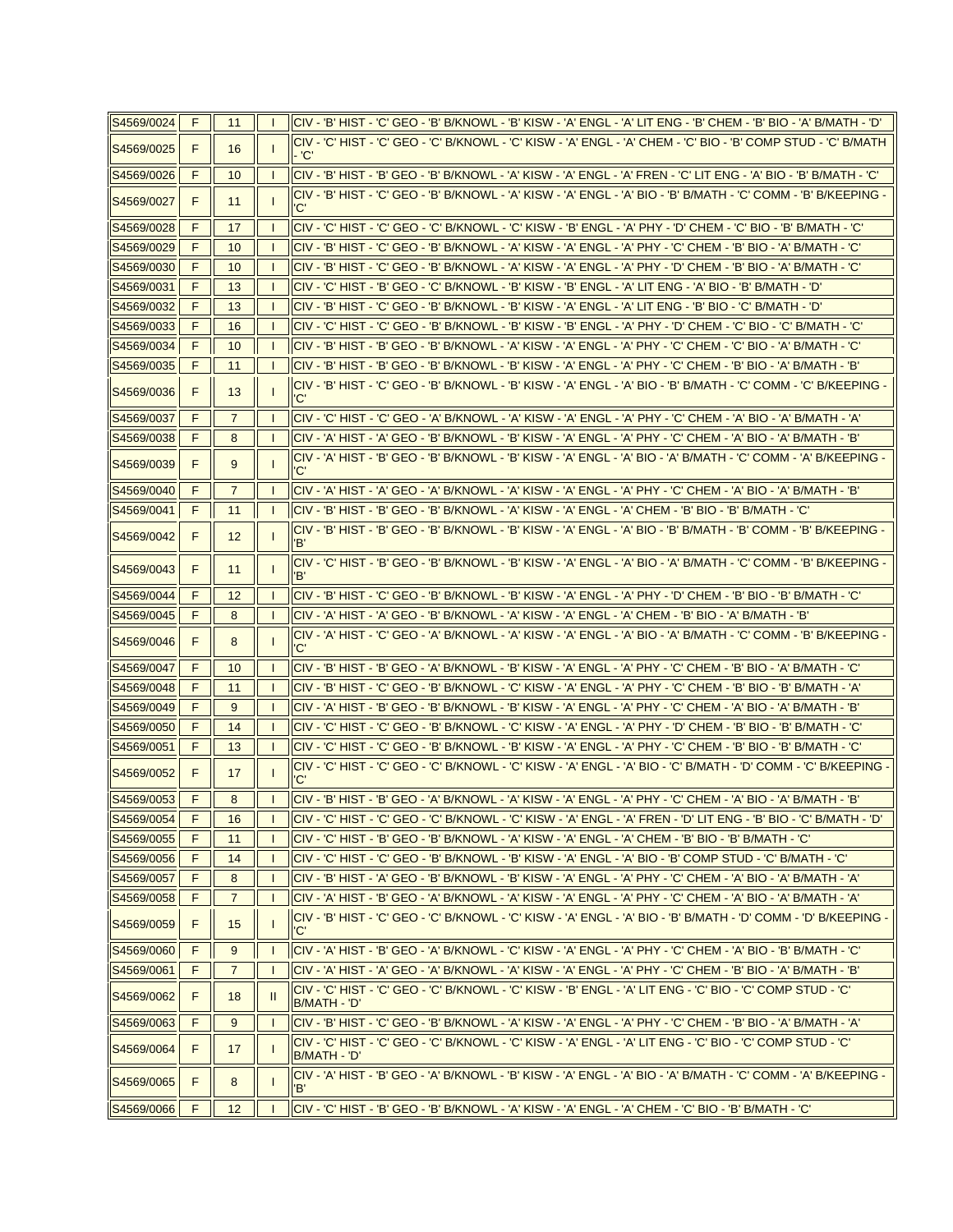| S4569/0024   | F. | 11             |              | 'CIV - 'B' HIST - 'C' GEO - 'B' B/KNOWL - 'B' KISW - 'A' ENGL - 'A' LIT ENG - 'B' CHEM - 'B' BIO - 'A' B/MATH - 'D         |
|--------------|----|----------------|--------------|----------------------------------------------------------------------------------------------------------------------------|
| S4569/0025   | F  | 16             |              | CIV - 'C' HIST - 'C' GEO - 'C' B/KNOWL - 'C' KISW - 'A' ENGL - 'A' CHEM - 'C' BIO - 'B' COMP STUD - 'C' B/MATH<br>- 'C'    |
| S4569/0026   | F  | 10             |              | 'CIV - 'B' HIST - 'B' GEO - 'B' B/KNOWL - 'A' KISW - 'A' ENGL - 'A' FREN - 'C' LIT ENG - 'A' BIO - 'B' B/MATH - 'C         |
| S4569/0027   | F  | 11             |              | - CIV - 'B' HIST - 'C' GEO - 'B' B/KNOWL - 'A' KISW - 'A' ENGL - 'A' BIO - 'B' B/MATH - 'C' COMM - 'B' B/KEEPING<br>'C'    |
| S4569/0028   | F  | 17             |              | 'CIV - 'C' HIST - 'C' GEO - 'C' B/KNOWL - 'C' KISW - 'B' ENGL - 'A' PHY - 'D' CHEM - 'C' BIO - 'B' B/MATH - 'C             |
| S4569/0029   | F  | 10             |              | 'CIV - 'B' HIST - 'C' GEO - 'B' B/KNOWL - 'A' KISW - 'A' ENGL - 'A' PHY - 'C' CHEM - 'B' BIO - 'A' B/MATH - 'C             |
| S4569/0030   | F  | 10             |              | 'CIV - 'B' HIST - 'C' GEO - 'B' B/KNOWL - 'A' KISW - 'A' ENGL - 'A' PHY - 'D' CHEM - 'B' BIO - 'A' B/MATH - 'C             |
| S4569/0031   | F  | 13             |              | 'CIV - 'C' HIST - 'B' GEO - 'C' B/KNOWL - 'B' KISW - 'B' ENGL - 'A' LIT ENG - 'A' BIO - 'B' B/MATH - 'D                    |
| S4569/0032   | F  | 13             | -1           | 'CIV - 'B' HIST - 'C' GEO - 'B' B/KNOWL - 'B' KISW - 'A' ENGL - 'A' LIT ENG - 'B' BIO - 'C' B/MATH - 'D                    |
| S4569/0033   | F  | 16             |              | 'CIV - 'C' HIST - 'C' GEO - 'B' B/KNOWL - 'B' KISW - 'B' ENGL - 'A' PHY - 'D' CHEM - 'C' BIO - 'C' B/MATH - 'C             |
| S4569/0034   | F  | 10             |              | 'CIV - 'B' HIST - 'B' GEO - 'B' B/KNOWL - 'A' KISW - 'A' ENGL - 'A' PHY - 'C' CHEM - 'C' BIO - 'A' B/MATH - 'C             |
| S4569/0035   | F  | 11             |              | 'CIV - 'B' HIST - 'B' GEO - 'B' B/KNOWL - 'B' KISW - 'A' ENGL - 'A' PHY - 'C' CHEM - 'B' BIO - 'A' B/MATH - 'B             |
| S4569/0036   | F  | 13             |              | - CIV - 'B' HIST - 'C' GEO - 'B' B/KNOWL - 'B' KISW - 'A' ENGL - 'A' BIO - 'B' B/MATH - 'C' COMM - 'C' B/KEEPING<br>'C'    |
| S4569/0037   | F  | $\overline{7}$ |              | 'CIV - 'C' HIST - 'C' GEO - 'A' B/KNOWL - 'A' KISW - 'A' ENGL - 'A' PHY - 'C' CHEM - 'A' BIO - 'A' B/MATH - 'A             |
| S4569/0038   | F  | 8              | $\mathbf{I}$ | 'CIV - 'A' HIST - 'A' GEO - 'B' B/KNOWL - 'B' KISW - 'A' ENGL - 'A' PHY - 'C' CHEM - 'A' BIO - 'A' B/MATH - 'B             |
| S4569/0039   | F  | 9              |              | - CIV - 'A' HIST - 'B' GEO - 'B' B/KNOWL - 'B' KISW - 'A' ENGL - 'A' BIO - 'A' B/MATH - 'C' COMM - 'A' B/KEEPING<br>'C'    |
| S4569/0040   | F  | $\overline{7}$ |              | 'CIV - 'A' HIST - 'A' GEO - 'A' B/KNOWL - 'A' KISW - 'A' ENGL - 'A' PHY - 'C' CHEM - 'A' BIO - 'A' B/MATH - 'B             |
| S4569/0041   | F  | 11             |              | 'CIV - 'B' HIST - 'B' GEO - 'B' B/KNOWL - 'A' KISW - 'A' ENGL - 'A' CHEM - 'B' BIO - 'B' B/MATH - 'C                       |
| S4569/0042   | F  | 12             |              | - CIV - 'B' HIST - 'B' GEO - 'B' B/KNOWL - 'B' KISW - 'A' ENGL - 'A' BIO - 'B' B/MATH - 'B' COMM - 'B' B/KEEPING<br>Έ,     |
| S4569/0043   | F  | 11             |              | - CIV - 'C' HIST - 'B' GEO - 'B' B/KNOWL - 'B' KISW - 'A' ENGL - 'A' BIO - 'A' B/MATH - 'C' COMM - 'B' B/KEEPING<br>Έ,     |
| S4569/0044   | F  | 12             | -1           | 'CIV - 'B' HIST - 'C' GEO - 'B' B/KNOWL - 'B' KISW - 'A' ENGL - 'A' PHY - 'D' CHEM - 'B' BIO - 'B' B/MATH - 'C             |
| S4569/0045   | F  | 8              |              | 'CIV - 'A' HIST - 'A' GEO - 'B' B/KNOWL - 'A' KISW - 'A' ENGL - 'A' CHEM - 'B' BIO - 'A' B/MATH - 'B                       |
| S4569/0046   | F  | 8              |              | - CIV - 'A' HIST - 'C' GEO - 'A' B/KNOWL - 'A' KISW - 'A' ENGL - 'A' BIO - 'A' B/MATH - 'C' COMM - 'B' B/KEEPING<br>'C'    |
| S4569/0047   | F  | 10             |              | 'CIV - 'B' HIST - 'B' GEO - 'A' B/KNOWL - 'B' KISW - 'A' ENGL - 'A' PHY - 'C' CHEM - 'B' BIO - 'A' B/MATH - 'C             |
| S4569/0048   | F  | 11             |              | 'CIV - 'B' HIST - 'C' GEO - 'B' B/KNOWL - 'C' KISW - 'A' ENGL - 'A' PHY - 'C' CHEM - 'B' BIO - 'B' B/MATH - 'A             |
| S4569/0049   | F  | 9              |              | 'CIV - 'A' HIST - 'B' GEO - 'B' B/KNOWL - 'B' KISW - 'A' ENGL - 'A' PHY - 'C' CHEM - 'A' BIO - 'A' B/MATH - 'B             |
| S4569/0050   | F  | 14             | $\mathbf{I}$ | 'CIV - 'C' HIST - 'C' GEO - 'B' B/KNOWL - 'C' KISW - 'A' ENGL - 'A' PHY - 'D' CHEM - 'B' BIO - 'B' B/MATH - 'C             |
| S4569/0051   | F  | 13             |              | 'CIV - 'C' HIST - 'C' GEO - 'B' B/KNOWL - 'B' KISW - 'A' ENGL - 'A' PHY - 'C' CHEM - 'B' BIO - 'B' B/MATH - 'C             |
| S4569/0052   | F  | 17             |              | - CIV - 'C' HIST - 'C' GEO - 'C' B/KNOWL - 'C' KISW - 'A' ENGL - 'A' BIO - 'C' B/MATH - 'D' COMM - 'C' B/KEEPING<br>'C'    |
| S4569/0053   | F  | 8              |              | 'CIV - 'B' HIST - 'B' GEO - 'A' B/KNOWL - 'A' KISW - 'A' ENGL - 'A' PHY - 'C' CHEM - 'A' BIO - 'A' B/MATH - 'B             |
| S4569/0054 F |    | 16             |              | CIV - 'C' HIST - 'C' GEO - 'C' B/KNOWL - 'C' KISW - 'A' ENGL - 'A' FREN - 'D' LIT ENG - 'B' BIO - 'C' B/MATH - 'D' $\;$    |
| S4569/0055   | F. | 11             |              | CIV - 'C' HIST - 'B' GEO - 'B' B/KNOWL - 'A' KISW - 'A' ENGL - 'A' CHEM - 'B' BIO - 'B' B/MATH - 'C'                       |
| S4569/0056   | F  | 14             |              | CIV - 'C' HIST - 'C' GEO - 'B' B/KNOWL - 'B' KISW - 'A' ENGL - 'A' BIO - 'B' COMP STUD - 'C' B/MATH - 'C'                  |
| S4569/0057   | F  | 8              |              | 'CIV - 'B' HIST - 'A' GEO - 'B' B/KNOWL - 'B' KISW - 'A' ENGL - 'A' PHY - 'C' CHEM - 'A' BIO - 'A' B/MATH - 'A             |
| S4569/0058   | F  | 7              |              | 'CIV - 'A' HIST - 'B' GEO - 'A' B/KNOWL - 'A' KISW - 'A' ENGL - 'A' PHY - 'C' CHEM - 'A' BIO - 'A' B/MATH - 'A             |
| S4569/0059   | F  | 15             |              | - CIV - 'B' HIST - 'C' GEO - 'C' B/KNOWL - 'C' KISW - 'A' ENGL - 'A' BIO - 'B' B/MATH - 'D' COMM - 'D' B/KEEPING<br>'C'    |
| S4569/0060   | F  | 9              |              | 'CIV - 'A' HIST - 'B' GEO - 'A' B/KNOWL - 'C' KISW - 'A' ENGL - 'A' PHY - 'C' CHEM - 'A' BIO - 'B' B/MATH - 'C             |
| S4569/0061   | F  | $\overline{7}$ |              | 'CIV - 'A' HIST - 'A' GEO - 'A' B/KNOWL - 'A' KISW - 'A' ENGL - 'A' PHY - 'C' CHEM - 'B' BIO - 'A' B/MATH - 'B             |
| S4569/0062   | F  | 18             |              | 'CIV - 'C' HIST - 'C' GEO - 'C' B/KNOWL - 'C' KISW - 'B' ENGL - 'A' LIT ENG - 'C' BIO - 'C' COMP STUD - 'C<br>B/MATH - 'D' |
| S4569/0063   | F  | 9              |              | CIV - 'B' HIST - 'C' GEO - 'B' B/KNOWL - 'A' KISW - 'A' ENGL - 'A' PHY - 'C' CHEM - 'B' BIO - 'A' B/MATH - 'A'             |
| S4569/0064   | F  | 17             |              | 'CIV - 'C' HIST - 'C' GEO - 'C' B/KNOWL - 'C' KISW - 'A' ENGL - 'A' LIT ENG - 'C' BIO - 'C' COMP STUD - 'C<br>B/MATH - 'D' |
| S4569/0065   | F  | 8              |              | - CIV - 'A' HIST - 'B' GEO - 'A' B/KNOWL - 'B' KISW - 'A' ENGL - 'A' BIO - 'A' B/MATH - 'C' COMM - 'A' B/KEEPING<br>'B'    |
| S4569/0066   | F  | 12             |              | 'CIV - 'C' HIST - 'B' GEO - 'B' B/KNOWL - 'A' KISW - 'A' ENGL - 'A' CHEM - 'C' BIO - 'B' B/MATH - 'C                       |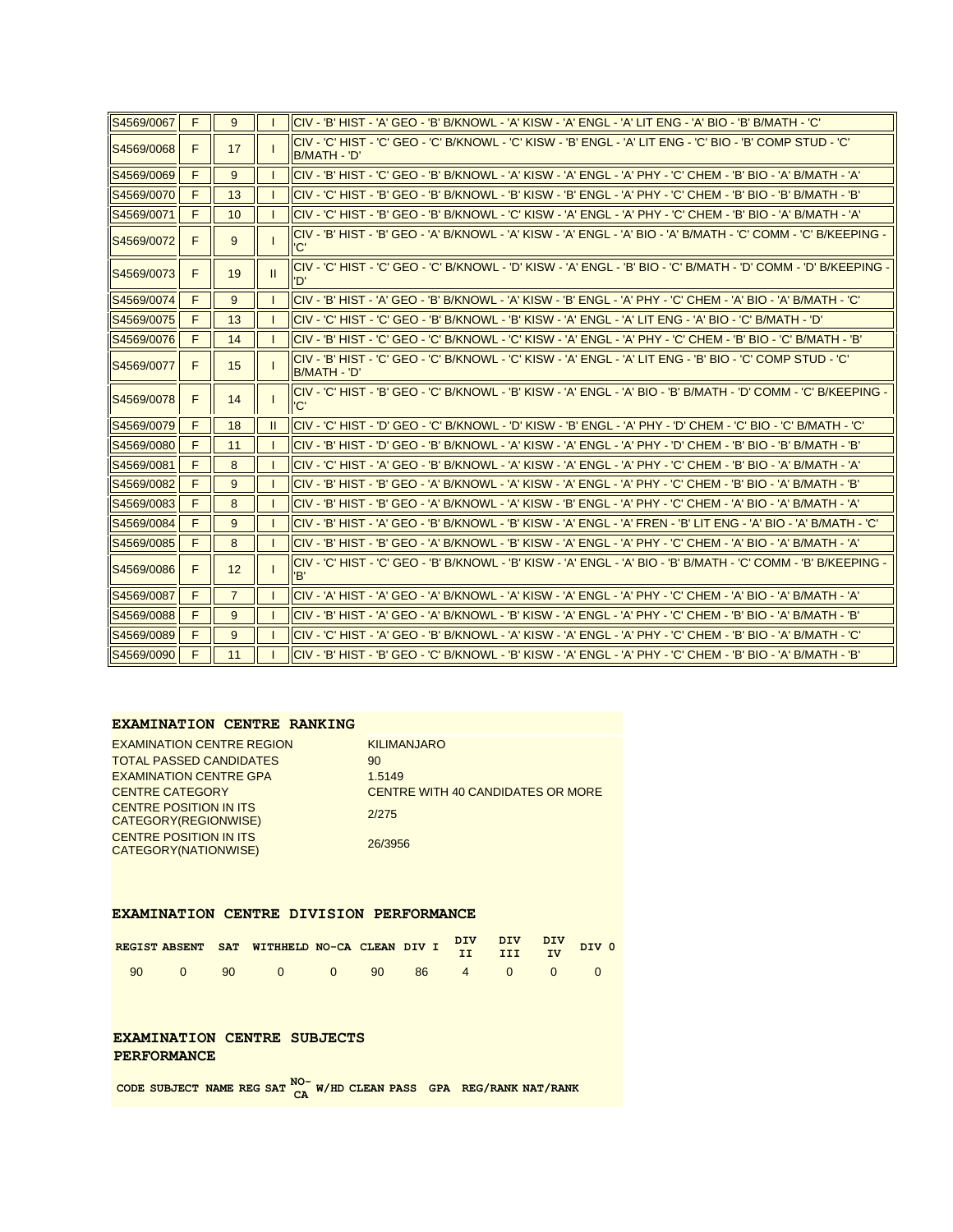| S4569/0067 | F | 9              |              | 'CIV - 'B' HIST - 'A' GEO - 'B' B/KNOWL - 'A' KISW - 'A' ENGL - 'A' LIT ENG - 'A' BIO - 'B' B/MATH - 'C                     |
|------------|---|----------------|--------------|-----------------------------------------------------------------------------------------------------------------------------|
| S4569/0068 | F | 17             |              | 'CIV - 'C' HIST - 'C' GEO - 'C' B/KNOWL - 'C' KISW - 'B' ENGL - 'A' LIT ENG - 'C' BIO - 'B' COMP STUD - 'C'<br>B/MATH - 'D' |
| S4569/0069 | F | 9              |              | CIV - 'B' HIST - 'C' GEO - 'B' B/KNOWL - 'A' KISW - 'A' ENGL - 'A' PHY - 'C' CHEM - 'B' BIO - 'A' B/MATH - 'A'              |
| S4569/0070 | F | 13             |              | CIV - 'C' HIST - 'B' GEO - 'B' B/KNOWL - 'B' KISW - 'B' ENGL - 'A' PHY - 'C' CHEM - 'B' BIO - 'B' B/MATH - 'B'              |
| S4569/0071 | F | 10             |              | 'CIV - 'C' HIST - 'B' GEO - 'B' B/KNOWL - 'C' KISW - 'A' ENGL - 'A' PHY - 'C' CHEM - 'B' BIO - 'A' B/MATH - 'A'             |
| S4569/0072 | F | 9              |              | - CIV - 'B' HIST - 'B' GEO - 'A' B/KNOWL - 'A' KISW - 'A' ENGL - 'A' BIO - 'A' B/MATH - 'C' COMM - 'C' B/KEEPING<br>'C'     |
| S4569/0073 | F | 19             | $\mathbf{H}$ | - C'HIST - 'C' HIST - 'C' GEO - 'C' B/KNOWL - 'D' KISW - 'A' ENGL - 'B' BIO - 'C' B/MATH - 'D' COMM - 'D' B/KEEPING<br>'D'  |
| S4569/0074 | F | 9              |              | CIV - 'B' HIST - 'A' GEO - 'B' B/KNOWL - 'A' KISW - 'B' ENGL - 'A' PHY - 'C' CHEM - 'A' BIO - 'A' B/MATH - 'C'              |
| S4569/0075 | F | 13             |              | 'C' HIST - 'C' GEO - 'B' B/KNOWL - 'B' KISW - 'A' ENGL - 'A' LIT ENG - 'A' BIO - 'C' B/MATH - 'D                            |
| S4569/0076 | F | 14             |              | 'CIV - 'B' HIST - 'C' GEO - 'C' B/KNOWL - 'C' KISW - 'A' ENGL - 'A' PHY - 'C' CHEM - 'B' BIO - 'C' B/MATH - 'B              |
| S4569/0077 | F | 15             |              | 'CIV - 'B' HIST - 'C' GEO - 'C' B/KNOWL - 'C' KISW - 'A' ENGL - 'A' LIT ENG - 'B' BIO - 'C' COMP STUD - 'C'<br>B/MATH - 'D' |
| S4569/0078 | F | 14             |              | CIV - 'C' HIST - 'B' GEO - 'C' B/KNOWL - 'B' KISW - 'A' ENGL - 'A' BIO - 'B' B/MATH - 'D' COMM - 'C' B/KEEPING -<br>'C'     |
| S4569/0079 | F | 18             | Ш            | CIV - 'C' HIST - 'D' GEO - 'C' B/KNOWL - 'D' KISW - 'B' ENGL - 'A' PHY - 'D' CHEM - 'C' BIO - 'C' B/MATH - 'C'              |
| S4569/0080 | F | 11             |              | 'CIV - 'B' HIST - 'D' GEO - 'B' B/KNOWL - 'A' KISW - 'A' ENGL - 'A' PHY - 'D' CHEM - 'B' BIO - 'B' B/MATH - 'B              |
| S4569/0081 | F | 8              |              | CIV - 'C' HIST - 'A' GEO - 'B' B/KNOWL - 'A' KISW - 'A' ENGL - 'A' PHY - 'C' CHEM - 'B' BIO - 'A' B/MATH - 'A'              |
| S4569/0082 | F | 9              |              | 'CIV - 'B' HIST - 'B' GEO - 'A' B/KNOWL - 'A' KISW - 'A' ENGL - 'A' PHY - 'C' CHEM - 'B' BIO - 'A' B/MATH - 'B              |
| S4569/0083 | F | 8              |              | 'CIV - 'B' HIST - 'B' GEO - 'A' B/KNOWL - 'A' KISW - 'B' ENGL - 'A' PHY - 'C' CHEM - 'A' BIO - 'A' B/MATH - 'A              |
| S4569/0084 | F | 9              |              | 'CIV - 'B' HIST - 'A' GEO - 'B' B/KNOWL - 'B' KISW - 'A' ENGL - 'A' FREN - 'B' LIT ENG - 'A' BIO - 'A' B/MATH - 'C'         |
| S4569/0085 | F | 8              |              | 'CIV - 'B' HIST - 'B' GEO - 'A' B/KNOWL - 'B' KISW - 'A' ENGL - 'A' PHY - 'C' CHEM - 'A' BIO - 'A' B/MATH - 'A'             |
| S4569/0086 | F | 12             |              | - C'I HIST - 'C' GEO - 'B' B/KNOWL - 'B' KISW - 'A' ENGL - 'A' BIO - 'B' B/MATH - 'C' COMM - 'B' B/KEEPING <br>'B'          |
| S4569/0087 | F | $\overline{7}$ |              | 'CIV - 'A' HIST - 'A' GEO - 'A' B/KNOWL - 'A' KISW - 'A' ENGL - 'A' PHY - 'C' CHEM - 'A' BIO - 'A' B/MATH - 'A              |
| S4569/0088 | F | 9              |              | 'CIV - 'B' HIST - 'A' GEO - 'A' B/KNOWL - 'B' KISW - 'A' ENGL - 'A' PHY - 'C' CHEM - 'B' BIO - 'A' B/MATH - 'B              |
| S4569/0089 | F | 9              |              | 'CIV - 'C' HIST - 'A' GEO - 'B' B/KNOWL - 'A' KISW - 'A' ENGL - 'A' PHY - 'C' CHEM - 'B' BIO - 'A' B/MATH - 'C              |
| S4569/0090 | F | 11             |              | 'CIV - 'B' HIST - 'B' GEO - 'C' B/KNOWL - 'B' KISW - 'A' ENGL - 'A' PHY - 'C' CHEM - 'B' BIO - 'A' B/MATH - 'B              |

#### **EXAMINATION CENTRE RANKING**

| <b>EXAMINATION CENTRE REGION</b>                       | <b>KILIMANJARO</b>                       |
|--------------------------------------------------------|------------------------------------------|
| <b>TOTAL PASSED CANDIDATES</b>                         | 90                                       |
| <b>EXAMINATION CENTRE GPA</b>                          | 1.5149                                   |
| <b>CENTRE CATEGORY</b>                                 | <b>CENTRE WITH 40 CANDIDATES OR MORE</b> |
| <b>CENTRE POSITION IN ITS</b><br>CATEGORY(REGIONWISE)  | 2/275                                    |
| <b>CENTRE POSITION IN ITS</b><br>CATEGORY (NATIONWISE) | 26/3956                                  |
|                                                        |                                          |

#### **EXAMINATION CENTRE DIVISION PERFORMANCE**

| REGIST ABSENT SAT WITHHELD NO-CA CLEAN DIV I DIV DIV DIV DIV O |  |                           |  |  |  |  |
|----------------------------------------------------------------|--|---------------------------|--|--|--|--|
|                                                                |  | 90 0 90 0 0 90 86 4 0 0 0 |  |  |  |  |

#### **EXAMINATION CENTRE SUBJECTS PERFORMANCE**

**CODE SUBJECT NAME REG SAT NO-CA W/HD CLEAN PASS GPA REG/RANK NAT/RANK**